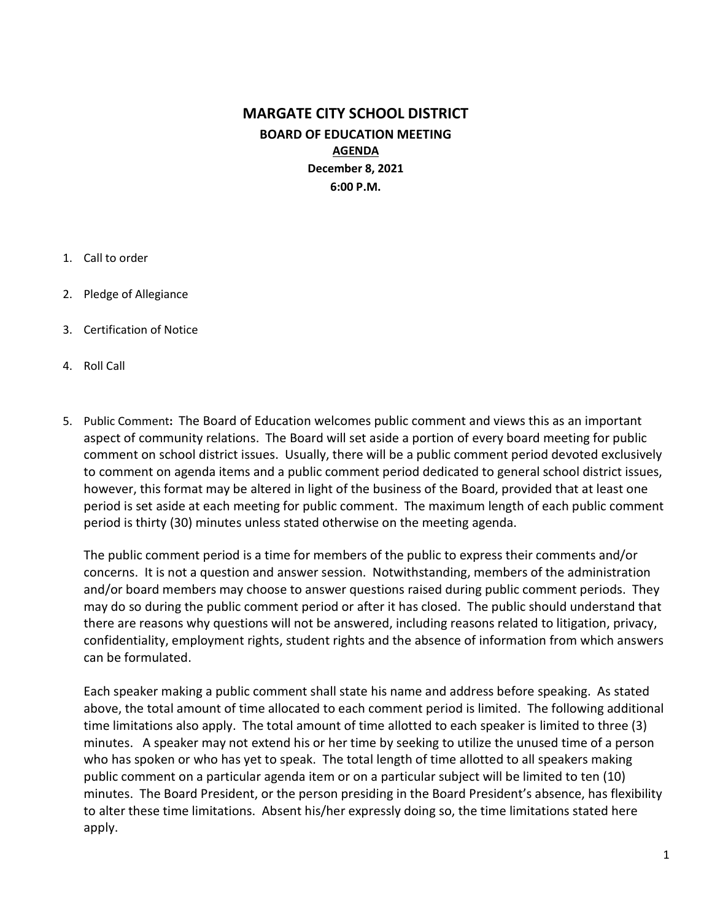# MARGATE CITY SCHOOL DISTRICT BOARD OF EDUCATION MEETING AGENDA December 8, 2021 6:00 P.M.

- 1. Call to order
- 2. Pledge of Allegiance
- 3. Certification of Notice
- 4. Roll Call
- 5. Public Comment: The Board of Education welcomes public comment and views this as an important aspect of community relations. The Board will set aside a portion of every board meeting for public comment on school district issues. Usually, there will be a public comment period devoted exclusively to comment on agenda items and a public comment period dedicated to general school district issues, however, this format may be altered in light of the business of the Board, provided that at least one period is set aside at each meeting for public comment. The maximum length of each public comment period is thirty (30) minutes unless stated otherwise on the meeting agenda.

The public comment period is a time for members of the public to express their comments and/or concerns. It is not a question and answer session. Notwithstanding, members of the administration and/or board members may choose to answer questions raised during public comment periods. They may do so during the public comment period or after it has closed. The public should understand that there are reasons why questions will not be answered, including reasons related to litigation, privacy, confidentiality, employment rights, student rights and the absence of information from which answers can be formulated.

Each speaker making a public comment shall state his name and address before speaking. As stated above, the total amount of time allocated to each comment period is limited. The following additional time limitations also apply. The total amount of time allotted to each speaker is limited to three (3) minutes. A speaker may not extend his or her time by seeking to utilize the unused time of a person who has spoken or who has yet to speak. The total length of time allotted to all speakers making public comment on a particular agenda item or on a particular subject will be limited to ten (10) minutes. The Board President, or the person presiding in the Board President's absence, has flexibility to alter these time limitations. Absent his/her expressly doing so, the time limitations stated here apply.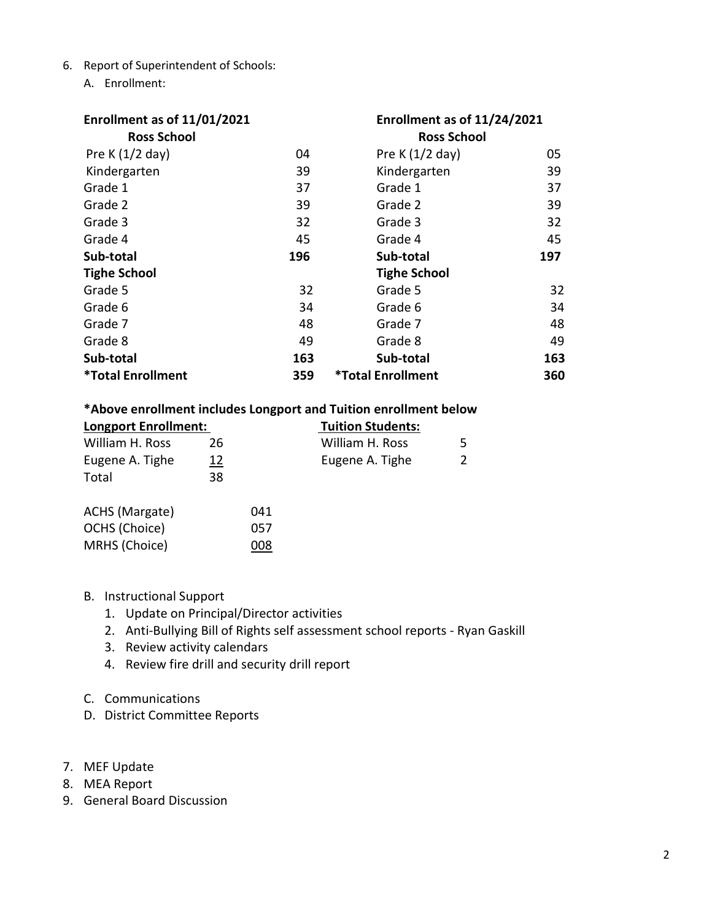- 6. Report of Superintendent of Schools:
	- A. Enrollment:

| Enrollment as of 11/01/2021     |     | Enrollment as of 11/24/2021     |     |  |  |
|---------------------------------|-----|---------------------------------|-----|--|--|
| <b>Ross School</b>              |     | <b>Ross School</b>              |     |  |  |
| Pre K $(1/2$ day)               | 04  | Pre K $(1/2$ day)               | 05  |  |  |
| Kindergarten                    | 39  | Kindergarten                    | 39  |  |  |
| Grade 1                         | 37  | Grade 1                         | 37  |  |  |
| Grade 2                         | 39  | Grade 2                         | 39  |  |  |
| Grade 3                         | 32  | Grade 3                         | 32  |  |  |
| Grade 4                         | 45  | Grade 4                         | 45  |  |  |
| Sub-total                       | 196 | Sub-total                       | 197 |  |  |
| <b>Tighe School</b>             |     | <b>Tighe School</b>             |     |  |  |
| Grade 5                         | 32  | Grade 5                         | 32  |  |  |
| Grade 6                         | 34  | Grade 6                         | 34  |  |  |
| Grade 7                         | 48  | Grade 7                         | 48  |  |  |
| Grade 8                         | 49  | Grade 8                         | 49  |  |  |
| Sub-total                       | 163 | Sub-total                       | 163 |  |  |
| <i><b>*Total Enrollment</b></i> | 359 | <i><b>*Total Enrollment</b></i> | 360 |  |  |

#### \*Above enrollment includes Longport and Tuition enrollment below

| <b>Longport Enrollment:</b> |    |     | <b>Tuition Students:</b> |  |
|-----------------------------|----|-----|--------------------------|--|
| William H. Ross             | 26 |     | William H. Ross          |  |
| Eugene A. Tighe             | 12 |     | Eugene A. Tighe          |  |
| Total                       | 38 |     |                          |  |
| ACHS (Margate)              |    | 041 |                          |  |
| OCHS (Choice)               |    | 057 |                          |  |
| MRHS (Choice)               |    | 008 |                          |  |

### B. Instructional Support

- 1. Update on Principal/Director activities
- 2. Anti-Bullying Bill of Rights self assessment school reports Ryan Gaskill
- 3. Review activity calendars
- 4. Review fire drill and security drill report
- C. Communications
- D. District Committee Reports
- 7. MEF Update
- 8. MEA Report
- 9. General Board Discussion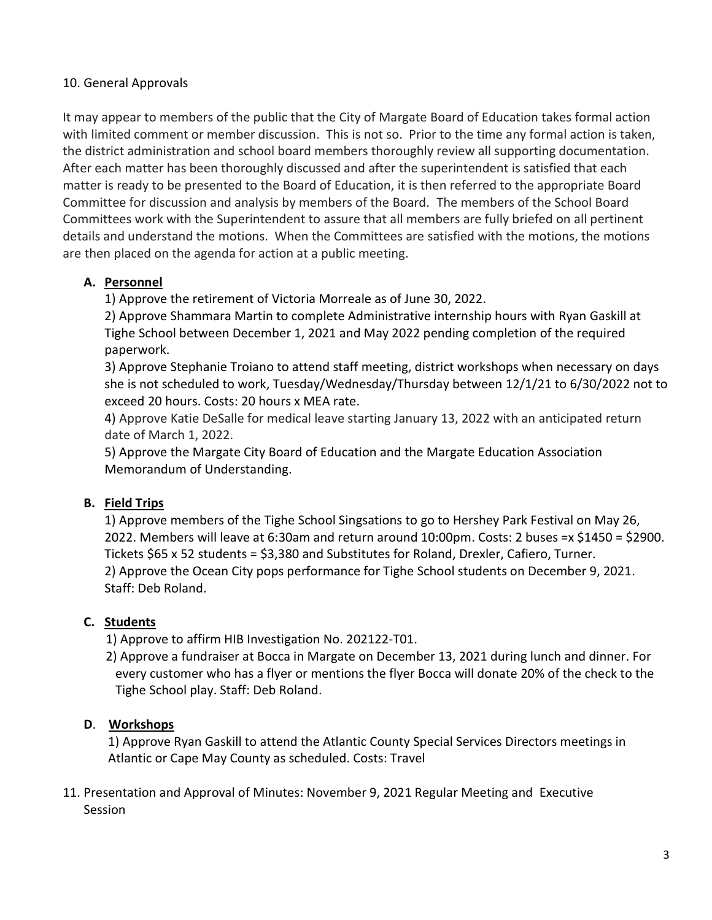### 10. General Approvals

It may appear to members of the public that the City of Margate Board of Education takes formal action with limited comment or member discussion. This is not so. Prior to the time any formal action is taken, the district administration and school board members thoroughly review all supporting documentation. After each matter has been thoroughly discussed and after the superintendent is satisfied that each matter is ready to be presented to the Board of Education, it is then referred to the appropriate Board Committee for discussion and analysis by members of the Board. The members of the School Board Committees work with the Superintendent to assure that all members are fully briefed on all pertinent details and understand the motions. When the Committees are satisfied with the motions, the motions are then placed on the agenda for action at a public meeting.

### A. Personnel

1) Approve the retirement of Victoria Morreale as of June 30, 2022.

2) Approve Shammara Martin to complete Administrative internship hours with Ryan Gaskill at Tighe School between December 1, 2021 and May 2022 pending completion of the required paperwork.

3) Approve Stephanie Troiano to attend staff meeting, district workshops when necessary on days she is not scheduled to work, Tuesday/Wednesday/Thursday between 12/1/21 to 6/30/2022 not to exceed 20 hours. Costs: 20 hours x MEA rate.

4) Approve Katie DeSalle for medical leave starting January 13, 2022 with an anticipated return date of March 1, 2022.

5) Approve the Margate City Board of Education and the Margate Education Association Memorandum of Understanding.

## B. Field Trips

1) Approve members of the Tighe School Singsations to go to Hershey Park Festival on May 26, 2022. Members will leave at 6:30am and return around 10:00pm. Costs: 2 buses =x \$1450 = \$2900. Tickets \$65 x 52 students = \$3,380 and Substitutes for Roland, Drexler, Cafiero, Turner. 2) Approve the Ocean City pops performance for Tighe School students on December 9, 2021. Staff: Deb Roland.

## C. Students

1) Approve to affirm HIB Investigation No. 202122-T01.

 2) Approve a fundraiser at Bocca in Margate on December 13, 2021 during lunch and dinner. For every customer who has a flyer or mentions the flyer Bocca will donate 20% of the check to the Tighe School play. Staff: Deb Roland.

## D. Workshops

1) Approve Ryan Gaskill to attend the Atlantic County Special Services Directors meetings in Atlantic or Cape May County as scheduled. Costs: Travel

11. Presentation and Approval of Minutes: November 9, 2021 Regular Meeting and Executive Session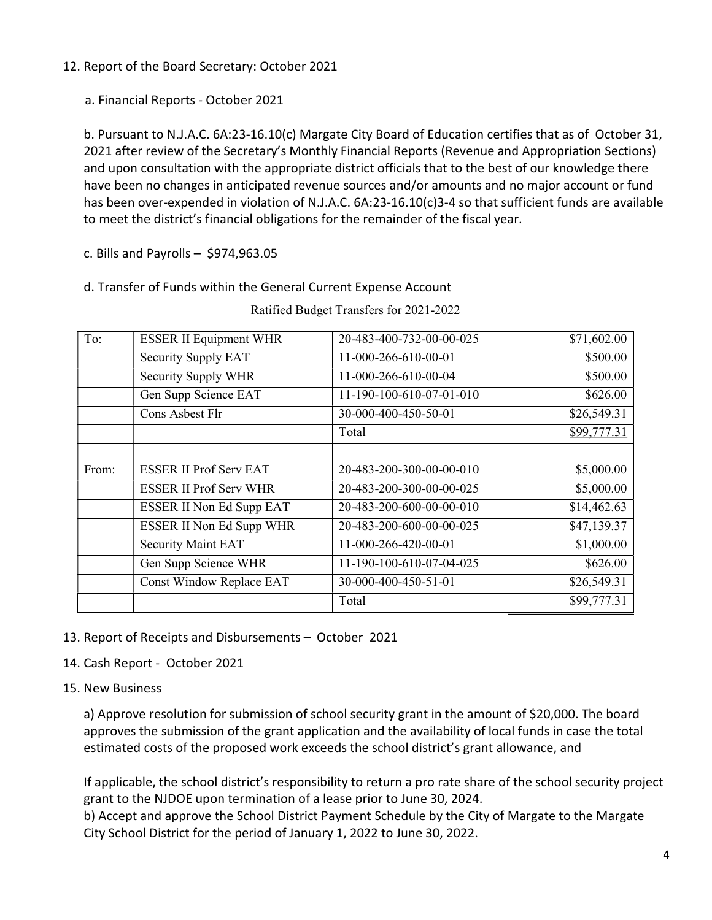12. Report of the Board Secretary: October 2021

a. Financial Reports - October 2021

b. Pursuant to N.J.A.C. 6A:23-16.10(c) Margate City Board of Education certifies that as of October 31, 2021 after review of the Secretary's Monthly Financial Reports (Revenue and Appropriation Sections) and upon consultation with the appropriate district officials that to the best of our knowledge there have been no changes in anticipated revenue sources and/or amounts and no major account or fund has been over-expended in violation of N.J.A.C. 6A:23-16.10(c)3-4 so that sufficient funds are available to meet the district's financial obligations for the remainder of the fiscal year.

c. Bills and Payrolls – \$974,963.05

d. Transfer of Funds within the General Current Expense Account

| To:   | <b>ESSER II Equipment WHR</b> | 20-483-400-732-00-00-025 | \$71,602.00 |
|-------|-------------------------------|--------------------------|-------------|
|       | Security Supply EAT           | 11-000-266-610-00-01     | \$500.00    |
|       | Security Supply WHR           | 11-000-266-610-00-04     | \$500.00    |
|       | Gen Supp Science EAT          | 11-190-100-610-07-01-010 | \$626.00    |
|       | Cons Asbest Flr               | 30-000-400-450-50-01     | \$26,549.31 |
|       |                               | Total                    | \$99,777.31 |
|       |                               |                          |             |
| From: | <b>ESSER II Prof Serv EAT</b> | 20-483-200-300-00-00-010 | \$5,000.00  |
|       | <b>ESSER II Prof Serv WHR</b> | 20-483-200-300-00-00-025 | \$5,000.00  |
|       | ESSER II Non Ed Supp EAT      | 20-483-200-600-00-00-010 | \$14,462.63 |
|       | ESSER II Non Ed Supp WHR      | 20-483-200-600-00-00-025 | \$47,139.37 |
|       | <b>Security Maint EAT</b>     | 11-000-266-420-00-01     | \$1,000.00  |
|       | Gen Supp Science WHR          | 11-190-100-610-07-04-025 | \$626.00    |
|       | Const Window Replace EAT      | 30-000-400-450-51-01     | \$26,549.31 |
|       |                               | Total                    | \$99,777.31 |

Ratified Budget Transfers for 2021-2022

- 13. Report of Receipts and Disbursements October 2021
- 14. Cash Report October 2021
- 15. New Business

a) Approve resolution for submission of school security grant in the amount of \$20,000. The board approves the submission of the grant application and the availability of local funds in case the total estimated costs of the proposed work exceeds the school district's grant allowance, and

If applicable, the school district's responsibility to return a pro rate share of the school security project grant to the NJDOE upon termination of a lease prior to June 30, 2024.

b) Accept and approve the School District Payment Schedule by the City of Margate to the Margate City School District for the period of January 1, 2022 to June 30, 2022.